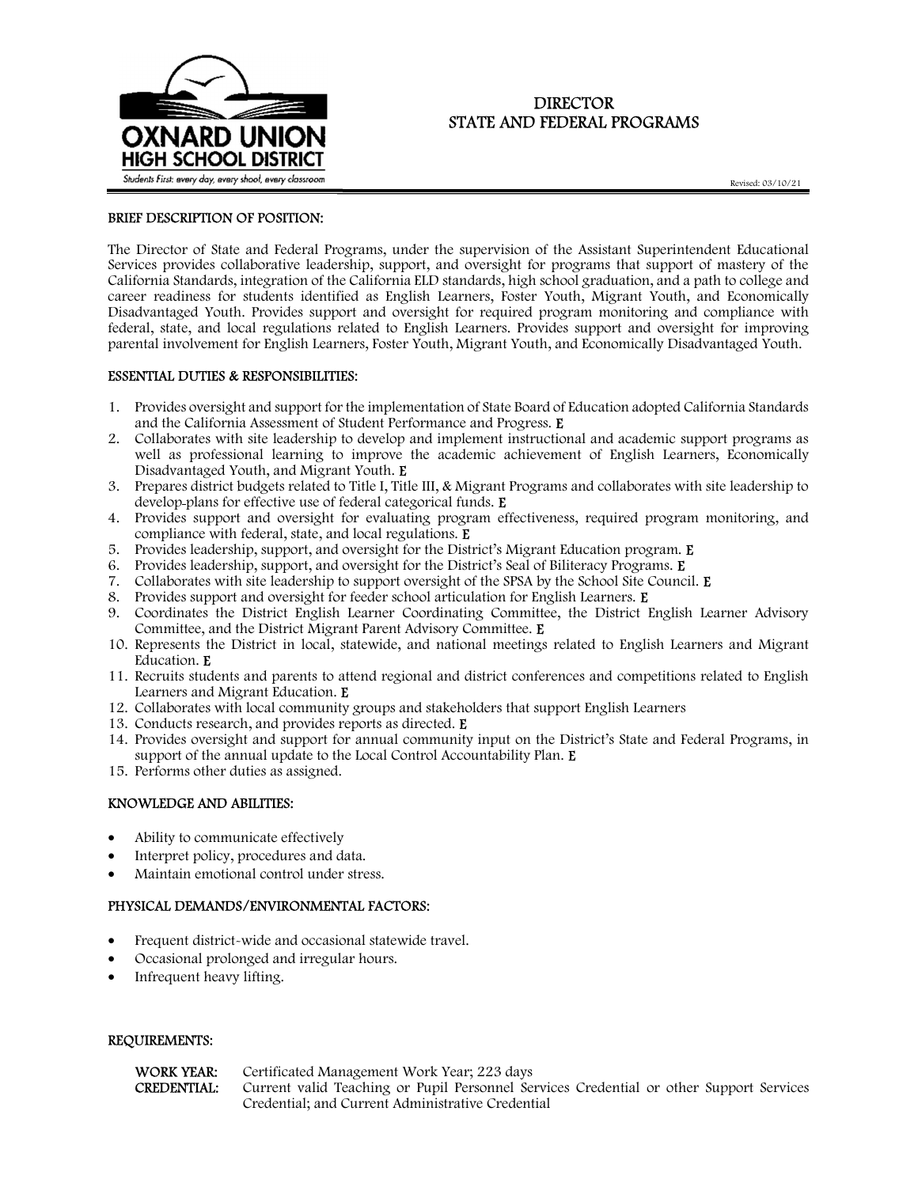

## DIRECTOR STATE AND FEDERAL PROGRAMS

Revised: 03/10/21

#### BRIEF DESCRIPTION OF POSITION:

The Director of State and Federal Programs, under the supervision of the Assistant Superintendent Educational Services provides collaborative leadership, support, and oversight for programs that support of mastery of the California Standards, integration of the California ELD standards, high school graduation, and a path to college and career readiness for students identified as English Learners, Foster Youth, Migrant Youth, and Economically Disadvantaged Youth. Provides support and oversight for required program monitoring and compliance with federal, state, and local regulations related to English Learners. Provides support and oversight for improving parental involvement for English Learners, Foster Youth, Migrant Youth, and Economically Disadvantaged Youth.

#### ESSENTIAL DUTIES & RESPONSIBILITIES:

- 1. Provides oversight and support for the implementation of State Board of Education adopted California Standards and the California Assessment of Student Performance and Progress. E
- 2. Collaborates with site leadership to develop and implement instructional and academic support programs as well as professional learning to improve the academic achievement of English Learners, Economically Disadvantaged Youth, and Migrant Youth. E
- 3. Prepares district budgets related to Title I, Title III, & Migrant Programs and collaborates with site leadership to develop plans for effective use of federal categorical funds. E
- 4. Provides support and oversight for evaluating program effectiveness, required program monitoring, and compliance with federal, state, and local regulations. E
- 5. Provides leadership, support, and oversight for the District's Migrant Education program. E
- 6. Provides leadership, support, and oversight for the District's Seal of Biliteracy Programs. E
- 7. Collaborates with site leadership to support oversight of the SPSA by the School Site Council. E
- 8. Provides support and oversight for feeder school articulation for English Learners. E
- 9. Coordinates the District English Learner Coordinating Committee, the District English Learner Advisory Committee, and the District Migrant Parent Advisory Committee. E
- 10. Represents the District in local, statewide, and national meetings related to English Learners and Migrant Education. E
- 11. Recruits students and parents to attend regional and district conferences and competitions related to English Learners and Migrant Education. E
- 12. Collaborates with local community groups and stakeholders that support English Learners
- 13. Conducts research, and provides reports as directed. E
- 14. Provides oversight and support for annual community input on the District's State and Federal Programs, in support of the annual update to the Local Control Accountability Plan. E
- 15. Performs other duties as assigned.

#### KNOWLEDGE AND ABILITIES:

- Ability to communicate effectively
- Interpret policy, procedures and data.
- Maintain emotional control under stress.

### PHYSICAL DEMANDS/ENVIRONMENTAL FACTORS:

- Frequent district-wide and occasional statewide travel.
- Occasional prolonged and irregular hours.
- Infrequent heavy lifting.

#### REQUIREMENTS:

| WORK YEAR:  | Certificated Management Work Year; 223 days                                             |
|-------------|-----------------------------------------------------------------------------------------|
| CREDENTIAL: | Current valid Teaching or Pupil Personnel Services Credential or other Support Services |
|             | Credential; and Current Administrative Credential                                       |